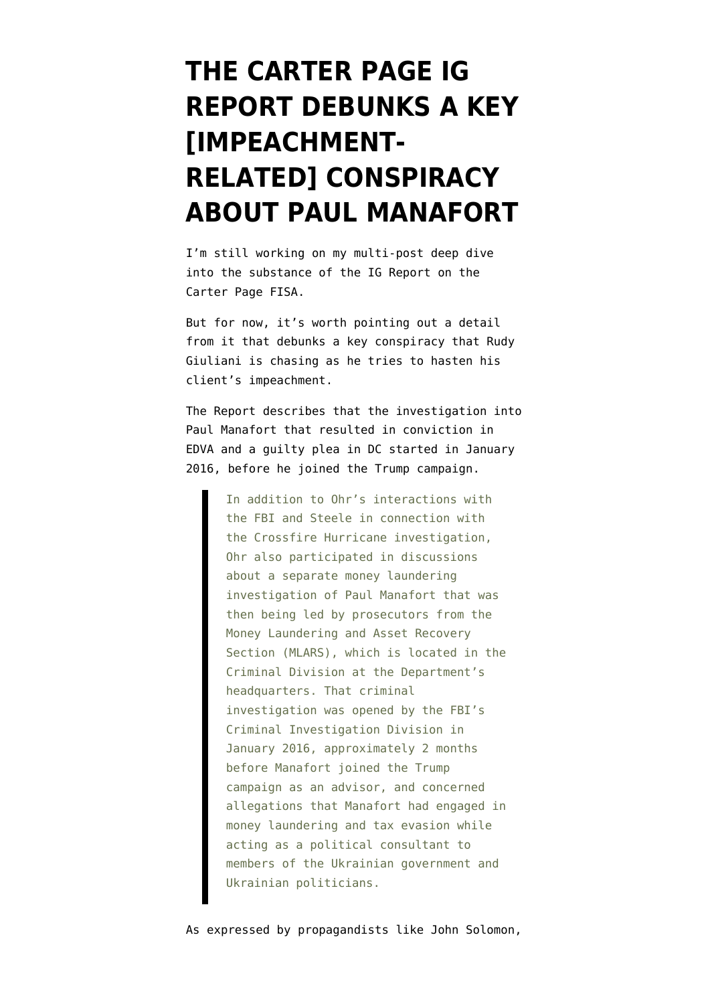# **[THE CARTER PAGE IG](https://www.emptywheel.net/2019/12/20/the-carter-page-fisa-report-debunks-a-key-impeachment-related-conspiracy-about-paul-manafort/) [REPORT DEBUNKS A KEY](https://www.emptywheel.net/2019/12/20/the-carter-page-fisa-report-debunks-a-key-impeachment-related-conspiracy-about-paul-manafort/) [\[IMPEACHMENT-](https://www.emptywheel.net/2019/12/20/the-carter-page-fisa-report-debunks-a-key-impeachment-related-conspiracy-about-paul-manafort/)[RELATED\] CONSPIRACY](https://www.emptywheel.net/2019/12/20/the-carter-page-fisa-report-debunks-a-key-impeachment-related-conspiracy-about-paul-manafort/) [ABOUT PAUL MANAFORT](https://www.emptywheel.net/2019/12/20/the-carter-page-fisa-report-debunks-a-key-impeachment-related-conspiracy-about-paul-manafort/)**

I'm still working on my multi-post deep dive into the substance of the [IG Report on the](https://www.justice.gov/storage/120919-examination.pdf) [Carter Page FISA.](https://www.justice.gov/storage/120919-examination.pdf)

But for now, it's worth pointing out a detail from it that debunks a key conspiracy that Rudy Giuliani is chasing as he tries to hasten his client's impeachment.

The Report describes that the investigation into Paul Manafort that resulted in conviction in EDVA and a guilty plea in DC started in January 2016, before he joined the Trump campaign.

> In addition to Ohr's interactions with the FBI and Steele in connection with the Crossfire Hurricane investigation, Ohr also participated in discussions about a separate money laundering investigation of Paul Manafort that was then being led by prosecutors from the Money Laundering and Asset Recovery Section (MLARS), which is located in the Criminal Division at the Department's headquarters. That criminal investigation was opened by the FBI's Criminal Investigation Division in January 2016, approximately 2 months before Manafort joined the Trump campaign as an advisor, and concerned allegations that Manafort had engaged in money laundering and tax evasion while acting as a political consultant to members of the Ukrainian government and Ukrainian politicians.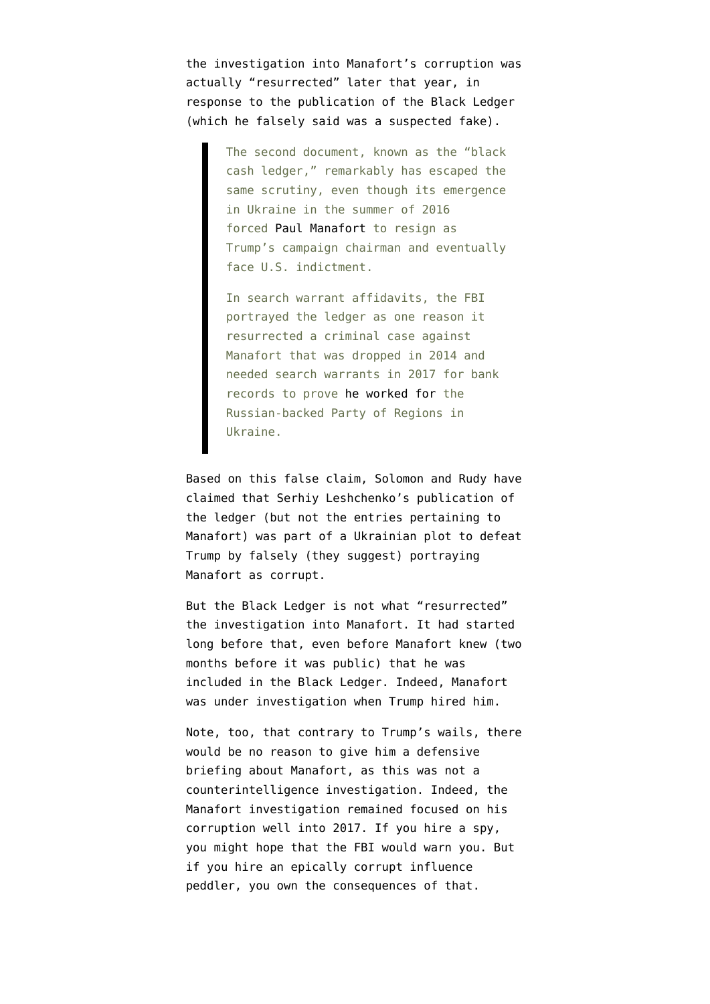the investigation into Manafort's corruption was actually "resurrected" later that year, in response to the publication of the Black Ledger (which he falsely said was a suspected fake).

> The second document, known as the "black cash ledger," remarkably has escaped the same scrutiny, even though its emergence in Ukraine in the summer of 2016 forced [Paul Manafort](https://thehill.com/people/paul-manafort) to resign as Trump's campaign chairman and eventually face U.S. indictment.

In search warrant affidavits, the FBI portrayed the ledger as one reason it resurrected a criminal case against Manafort that was dropped in 2014 and needed search warrants in 2017 for bank records to prove [he worked for](https://thehill.com/opinion/white-house/447394-key-figure-that-mueller-report-linked-to-russia-was-a-state-department) the Russian-backed Party of Regions in Ukraine.

Based on this false claim, Solomon and Rudy have [claimed](https://www.emptywheel.net/2019/11/21/paul-manafort-knew-of-his-inclusion-in-the-black-ledger-two-months-before-nyt-story/) that Serhiy Leshchenko's publication of the ledger (but not the entries pertaining to Manafort) was part of a Ukrainian plot to defeat Trump by falsely (they suggest) portraying Manafort as corrupt.

But the Black Ledger is not what "resurrected" the investigation into Manafort. It had started long before that, even before Manafort knew (two months before it was public) that he was included in the Black Ledger. Indeed, Manafort was under investigation when Trump hired him.

Note, too, that contrary to Trump's wails, there would be no reason to give him a defensive briefing about Manafort, as this was not a counterintelligence investigation. Indeed, the Manafort investigation remained focused on his corruption well into 2017. If you hire a spy, you might hope that the FBI would warn you. But if you hire an epically corrupt influence peddler, you own the consequences of that.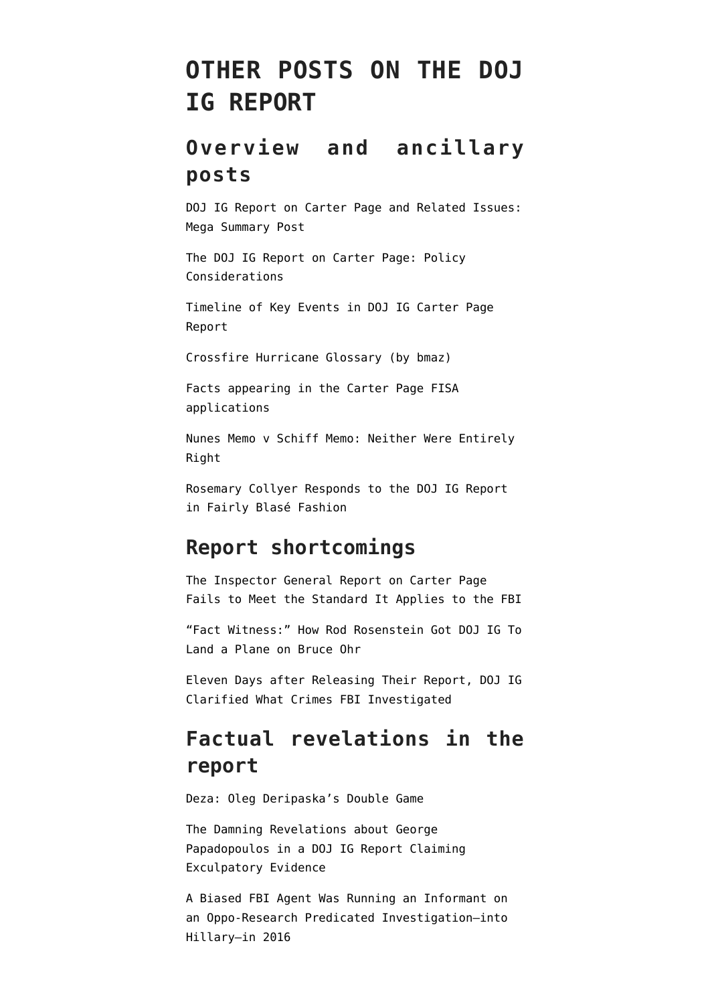## **OTHER POSTS ON THE DOJ IG REPORT**

### **Overview and ancillary posts**

[DOJ IG Report on Carter Page and Related Issues:](https://www.emptywheel.net/2019/12/20/doj-ig-report-on-carter-page-and-related-issues-mega-summary-post/) [Mega Summary Post](https://www.emptywheel.net/2019/12/20/doj-ig-report-on-carter-page-and-related-issues-mega-summary-post/)

[The DOJ IG Report on Carter Page: Policy](https://www.emptywheel.net/2020/01/06/the-doj-ig-report-on-carter-page-policy-considerations/) [Considerations](https://www.emptywheel.net/2020/01/06/the-doj-ig-report-on-carter-page-policy-considerations/)

[Timeline of Key Events in DOJ IG Carter Page](https://www.emptywheel.net/2019/12/20/timeline-of-key-events-in-doj-ig-carter-page-report/) [Report](https://www.emptywheel.net/2019/12/20/timeline-of-key-events-in-doj-ig-carter-page-report/)

[Crossfire Hurricane Glossary](https://www.emptywheel.net/2019/12/21/crossfire-hurricane-glossary/) (by bmaz)

[Facts appearing in the Carter Page FISA](https://docs.google.com/document/d/e/2PACX-1vRYobs1L25qpjU2Fqz-wKlECaK-yOYU1bDsnGtesluW0_vZiewHvZqZW01cjDSp-44P1TeEA8nGMuW9/pub) [applications](https://docs.google.com/document/d/e/2PACX-1vRYobs1L25qpjU2Fqz-wKlECaK-yOYU1bDsnGtesluW0_vZiewHvZqZW01cjDSp-44P1TeEA8nGMuW9/pub)

[Nunes Memo v Schiff Memo: Neither Were Entirely](https://www.emptywheel.net/2020/01/08/nunes-memo-v-schiff-memo-neither-were-entirely-right/) [Right](https://www.emptywheel.net/2020/01/08/nunes-memo-v-schiff-memo-neither-were-entirely-right/)

[Rosemary Collyer Responds to the DOJ IG Report](https://www.emptywheel.net/2019/12/17/rosemary-collyer-responds-to-the-doj-ig-report/) [in Fairly Blasé Fashion](https://www.emptywheel.net/2019/12/17/rosemary-collyer-responds-to-the-doj-ig-report/)

#### **Report shortcomings**

[The Inspector General Report on Carter Page](https://www.emptywheel.net/2019/12/30/the-inspector-general-report-on-carter-page-fails-to-meet-the-standard-it-applies-to-the-fbi/) [Fails to Meet the Standard It Applies to the FBI](https://www.emptywheel.net/2019/12/30/the-inspector-general-report-on-carter-page-fails-to-meet-the-standard-it-applies-to-the-fbi/)

["Fact Witness:" How Rod Rosenstein Got DOJ IG To](https://www.emptywheel.net/2019/12/28/fact-witness-how-rod-rosenstein-got-doj-ig-to-land-a-plane-on-bruce-ohr/) [Land a Plane on Bruce Ohr](https://www.emptywheel.net/2019/12/28/fact-witness-how-rod-rosenstein-got-doj-ig-to-land-a-plane-on-bruce-ohr/)

[Eleven Days after Releasing Their Report, DOJ IG](https://www.emptywheel.net/2019/12/23/eleven-days-after-releasing-their-report-doj-ig-clarifies-what-crimes-fbi-investigated/) [Clarified What Crimes FBI Investigated](https://www.emptywheel.net/2019/12/23/eleven-days-after-releasing-their-report-doj-ig-clarifies-what-crimes-fbi-investigated/)

#### **Factual revelations in the report**

[Deza: Oleg Deripaska's Double Game](https://www.emptywheel.net/2020/01/02/deza-oleg-deripaskas-double-game/)

[The Damning Revelations about George](https://www.emptywheel.net/2019/12/24/the-damning-revelations-about-george-papadopoulos-in-a-doj-ig-report-claiming-exculpatory-evidence/) [Papadopoulos in a DOJ IG Report Claiming](https://www.emptywheel.net/2019/12/24/the-damning-revelations-about-george-papadopoulos-in-a-doj-ig-report-claiming-exculpatory-evidence/) [Exculpatory Evidence](https://www.emptywheel.net/2019/12/24/the-damning-revelations-about-george-papadopoulos-in-a-doj-ig-report-claiming-exculpatory-evidence/)

[A Biased FBI Agent Was Running an Informant on](https://www.emptywheel.net/2019/12/17/a-biased-fbi-agent-was-running-an-informant-on-an-oppo-research-predicated-investigation-in-2016/) [an Oppo-Research Predicated Investigation–into](https://www.emptywheel.net/2019/12/17/a-biased-fbi-agent-was-running-an-informant-on-an-oppo-research-predicated-investigation-in-2016/) [Hillary–in 2016](https://www.emptywheel.net/2019/12/17/a-biased-fbi-agent-was-running-an-informant-on-an-oppo-research-predicated-investigation-in-2016/)